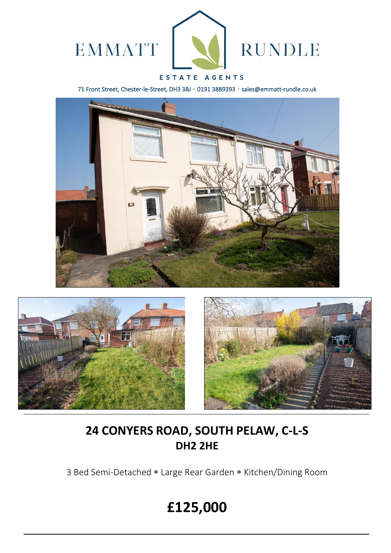

# ESTATE AGENTS

71 Front Street, Chester-le-Street, DH3 3BJ \* 0191 3889393 \* sales@emmatt-rundle.co.uk







# **24 CONYERS ROAD, SOUTH PELAW, C-L-S DH2 2HE**

3 Bed Semi-Detached \* Large Rear Garden \* Kitchen/Dining Room

# **£125,000**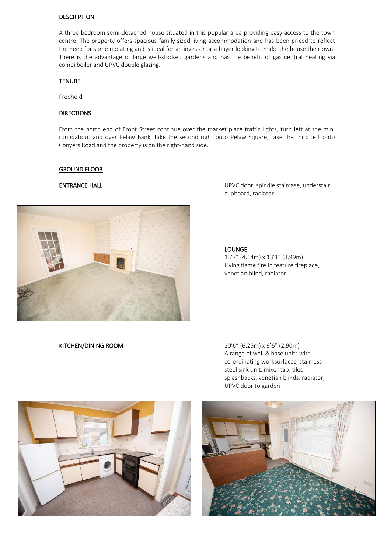### **DESCRIPTION**

A three bedroom semi-detached house situated in this popular area providing easy access to the town centre. The property offers spacious family-sized living accommodation and has been priced to reflect the need for some updating and is ideal for an investor or a buyer looking to make the house their own. There is the advantage of large well-stocked gardens and has the benefit of gas central heating via combi boiler and UPVC double glazing.

### TENURE

Freehold

# **DIRECTIONS**

From the north end of Front Street continue over the market place traffic lights, turn left at the mini roundabout and over Pelaw Bank, take the second right onto Pelaw Square, take the third left onto Conyers Road and the property is on the right-hand side.

### GROUND FLOOR



ENTRANCE HALL **ENTRANCE HALL ENTRANCE HALL UPVC** door, spindle staircase, understair cupboard, radiator

## LOUNGE

13'7" (4.14m) x 13'1" (3.99m) Living flame fire in feature fireplace, venetian blind, radiator

KITCHEN/DINING ROOM 20'6" (6.25m) x 9'6" (2.90m) A range of wall & base units with co-ordinating worksurfaces, stainless steel sink unit, mixer tap, tiled splashbacks, venetian blinds, radiator, UPVC door to garden



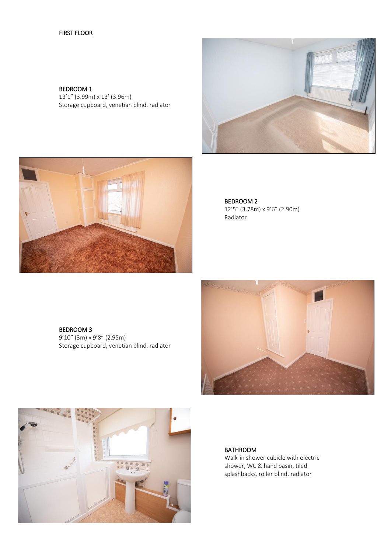# FIRST FLOOR

BEDROOM 1 13'1" (3.99m) x 13' (3.96m) Storage cupboard, venetian blind, radiator





BEDROOM 3 9'10" (3m) x 9'8" (2.95m) Storage cupboard, venetian blind, radiator





BATHROOM Walk-in shower cubicle with electric shower, WC & hand basin, tiled splashbacks, roller blind, radiator